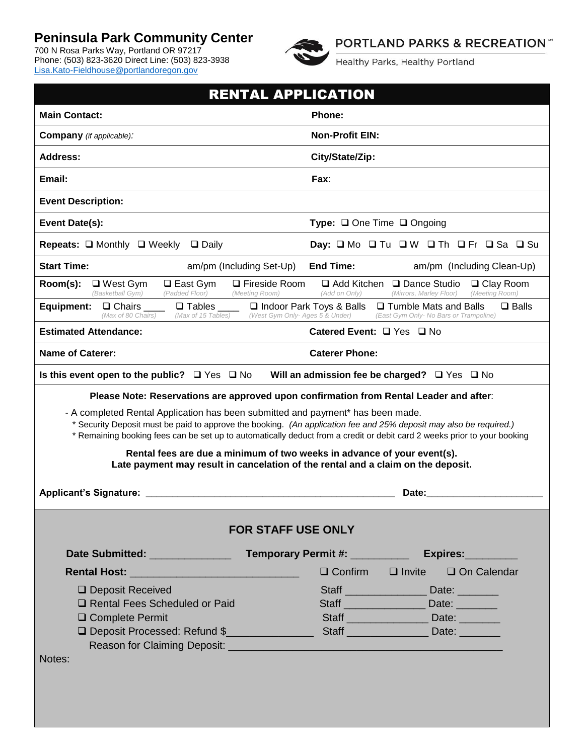## **Peninsula Park Community Center**

700 N Rosa Parks Way, Portland OR 97217 Phone: (503) 823-3620 Direct Line: (503) 823-3938 [Lisa.Kato-Fieldhouse@portlandoregon.gov](mailto:Lisa.Kato-Fieldhouse@portlandoregon.gov)



**PORTLAND PARKS & RECREATION**"

Healthy Parks, Healthy Portland

| <b>RENTAL APPLICATION</b>                                                                                                                                                                                                                                                                                                         |                                                                                                                          |  |  |  |
|-----------------------------------------------------------------------------------------------------------------------------------------------------------------------------------------------------------------------------------------------------------------------------------------------------------------------------------|--------------------------------------------------------------------------------------------------------------------------|--|--|--|
| <b>Main Contact:</b>                                                                                                                                                                                                                                                                                                              | Phone:                                                                                                                   |  |  |  |
| <b>Company</b> (if applicable):                                                                                                                                                                                                                                                                                                   | <b>Non-Profit EIN:</b>                                                                                                   |  |  |  |
| Address:                                                                                                                                                                                                                                                                                                                          | City/State/Zip:                                                                                                          |  |  |  |
| Email:                                                                                                                                                                                                                                                                                                                            | Fax:                                                                                                                     |  |  |  |
| <b>Event Description:</b>                                                                                                                                                                                                                                                                                                         |                                                                                                                          |  |  |  |
| Event Date(s):                                                                                                                                                                                                                                                                                                                    | <b>Type:</b> $\Box$ One Time $\Box$ Ongoing                                                                              |  |  |  |
| Repeats: □ Monthly □ Weekly □ Daily                                                                                                                                                                                                                                                                                               | Day: O Mo O Tu O W O Th O Fr O Sa O Su                                                                                   |  |  |  |
| <b>Start Time:</b><br>am/pm (Including Set-Up)                                                                                                                                                                                                                                                                                    | <b>End Time:</b><br>am/pm (Including Clean-Up)                                                                           |  |  |  |
| Room(s):<br>$\Box$ Fireside Room<br>$\Box$ West Gym<br>$\Box$ East Gym<br>(Basketball Gym)<br>(Padded Floor)<br>(Meeting Room)                                                                                                                                                                                                    | $\Box$ Add Kitchen $\Box$ Dance Studio<br>$\Box$ Clay Room<br>(Meeting Room)<br>(Add on Only)<br>(Mirrors, Marley Floor) |  |  |  |
| Equipment:<br>$\Box$ Chairs<br>$\square$ Tables<br>(Max of 80 Chairs)<br>(Max of 15 Tables)<br>(West Gym Only- Ages 5 & Under)                                                                                                                                                                                                    | □ Indoor Park Toys & Balls<br>$\Box$ Tumble Mats and Balls<br>$\Box$ Balls<br>(East Gym Only- No Bars or Trampoline)     |  |  |  |
| <b>Estimated Attendance:</b>                                                                                                                                                                                                                                                                                                      | Catered Event: □ Yes □ No                                                                                                |  |  |  |
| <b>Name of Caterer:</b>                                                                                                                                                                                                                                                                                                           | <b>Caterer Phone:</b>                                                                                                    |  |  |  |
| Is this event open to the public? $\Box$ Yes $\Box$ No                                                                                                                                                                                                                                                                            | Will an admission fee be charged? $\Box$ Yes $\Box$ No                                                                   |  |  |  |
| Please Note: Reservations are approved upon confirmation from Rental Leader and after:                                                                                                                                                                                                                                            |                                                                                                                          |  |  |  |
| - A completed Rental Application has been submitted and payment* has been made.<br>* Security Deposit must be paid to approve the booking. (An application fee and 25% deposit may also be required.)<br>* Remaining booking fees can be set up to automatically deduct from a credit or debit card 2 weeks prior to your booking |                                                                                                                          |  |  |  |
| Rental fees are due a minimum of two weeks in advance of your event(s).<br>Late payment may result in cancelation of the rental and a claim on the deposit.                                                                                                                                                                       |                                                                                                                          |  |  |  |
|                                                                                                                                                                                                                                                                                                                                   | Date:                                                                                                                    |  |  |  |
|                                                                                                                                                                                                                                                                                                                                   |                                                                                                                          |  |  |  |
| <b>FOR STAFF USE ONLY</b>                                                                                                                                                                                                                                                                                                         |                                                                                                                          |  |  |  |
| Date Submitted: University Pate Submitted:                                                                                                                                                                                                                                                                                        | Temporary Permit #: ___________<br>Expires:                                                                              |  |  |  |
| Rental Host: New York Press, New York Press, New York Press, New York Press, New York Press, New York Press, N                                                                                                                                                                                                                    | $\Box$ Confirm $\Box$ Invite<br>$\Box$ On Calendar                                                                       |  |  |  |
| □ Deposit Received                                                                                                                                                                                                                                                                                                                | Staff<br>Date: $\frac{1}{\sqrt{1-\frac{1}{2}}\cdot\frac{1}{2}}$                                                          |  |  |  |
| Rental Fees Scheduled or Paid                                                                                                                                                                                                                                                                                                     | Staff Date:                                                                                                              |  |  |  |
| Staff _____________________ Date: _________<br>□ Complete Permit                                                                                                                                                                                                                                                                  |                                                                                                                          |  |  |  |
| Deposit Processed: Refund \$                                                                                                                                                                                                                                                                                                      | Staff ______________________ Date: ________                                                                              |  |  |  |
|                                                                                                                                                                                                                                                                                                                                   |                                                                                                                          |  |  |  |
| Notes:                                                                                                                                                                                                                                                                                                                            |                                                                                                                          |  |  |  |
|                                                                                                                                                                                                                                                                                                                                   |                                                                                                                          |  |  |  |
|                                                                                                                                                                                                                                                                                                                                   |                                                                                                                          |  |  |  |
|                                                                                                                                                                                                                                                                                                                                   |                                                                                                                          |  |  |  |